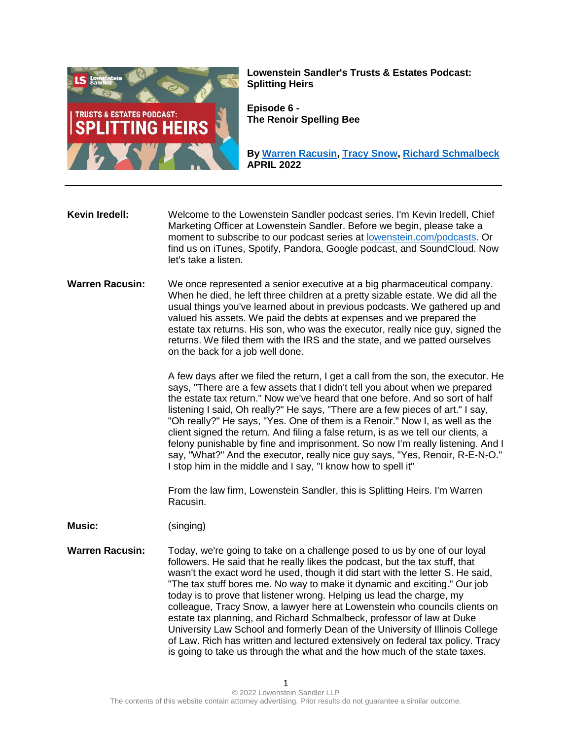

**Lowenstein Sandler's Trusts & Estates Podcast: Splitting Heirs**

**Episode 6 - The Renoir Spelling Bee**

**By [Warren Racusin,](https://www.lowenstein.com/people/attorneys/warren-racusin) [Tracy Snow,](https://www.lowenstein.com/people/attorneys/tracy-snow) [Richard Schmalbeck](https://law.duke.edu/fac/schmalbeck/) APRIL 2022**

**Kevin Iredell:** Welcome to the Lowenstein Sandler podcast series. I'm Kevin Iredell, Chief Marketing Officer at Lowenstein Sandler. Before we begin, please take a moment to subscribe to our podcast series at [lowenstein.com/podcasts.](https://www.lowenstein.com/podcasts) Or find us on iTunes, Spotify, Pandora, Google podcast, and SoundCloud. Now let's take a listen.

**Warren Racusin:** We once represented a senior executive at a big pharmaceutical company. When he died, he left three children at a pretty sizable estate. We did all the usual things you've learned about in previous podcasts. We gathered up and valued his assets. We paid the debts at expenses and we prepared the estate tax returns. His son, who was the executor, really nice guy, signed the returns. We filed them with the IRS and the state, and we patted ourselves on the back for a job well done.

> A few days after we filed the return, I get a call from the son, the executor. He says, "There are a few assets that I didn't tell you about when we prepared the estate tax return." Now we've heard that one before. And so sort of half listening I said, Oh really?" He says, "There are a few pieces of art." I say, "Oh really?" He says, "Yes. One of them is a Renoir." Now I, as well as the client signed the return. And filing a false return, is as we tell our clients, a felony punishable by fine and imprisonment. So now I'm really listening. And I say, "What?" And the executor, really nice guy says, "Yes, Renoir, R-E-N-O." I stop him in the middle and I say, "I know how to spell it"

From the law firm, Lowenstein Sandler, this is Splitting Heirs. I'm Warren Racusin.

**Music:** (singing)

**Warren Racusin:** Today, we're going to take on a challenge posed to us by one of our loyal followers. He said that he really likes the podcast, but the tax stuff, that wasn't the exact word he used, though it did start with the letter S. He said, "The tax stuff bores me. No way to make it dynamic and exciting." Our job today is to prove that listener wrong. Helping us lead the charge, my colleague, Tracy Snow, a lawyer here at Lowenstein who councils clients on estate tax planning, and Richard Schmalbeck, professor of law at Duke University Law School and formerly Dean of the University of Illinois College of Law. Rich has written and lectured extensively on federal tax policy. Tracy is going to take us through the what and the how much of the state taxes.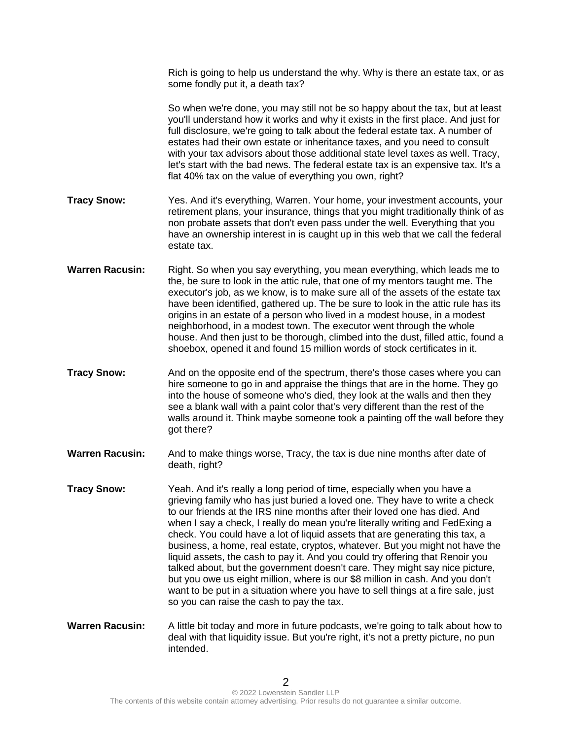Rich is going to help us understand the why. Why is there an estate tax, or as some fondly put it, a death tax? So when we're done, you may still not be so happy about the tax, but at least you'll understand how it works and why it exists in the first place. And just for full disclosure, we're going to talk about the federal estate tax. A number of estates had their own estate or inheritance taxes, and you need to consult with your tax advisors about those additional state level taxes as well. Tracy, let's start with the bad news. The federal estate tax is an expensive tax. It's a flat 40% tax on the value of everything you own, right? **Tracy Snow:** Yes. And it's everything, Warren. Your home, your investment accounts, your retirement plans, your insurance, things that you might traditionally think of as non probate assets that don't even pass under the well. Everything that you have an ownership interest in is caught up in this web that we call the federal estate tax. **Warren Racusin:** Right. So when you say everything, you mean everything, which leads me to the, be sure to look in the attic rule, that one of my mentors taught me. The executor's job, as we know, is to make sure all of the assets of the estate tax have been identified, gathered up. The be sure to look in the attic rule has its origins in an estate of a person who lived in a modest house, in a modest neighborhood, in a modest town. The executor went through the whole house. And then just to be thorough, climbed into the dust, filled attic, found a shoebox, opened it and found 15 million words of stock certificates in it. **Tracy Snow:** And on the opposite end of the spectrum, there's those cases where you can hire someone to go in and appraise the things that are in the home. They go into the house of someone who's died, they look at the walls and then they see a blank wall with a paint color that's very different than the rest of the walls around it. Think maybe someone took a painting off the wall before they got there? **Warren Racusin:** And to make things worse, Tracy, the tax is due nine months after date of death, right? **Tracy Snow:** Yeah. And it's really a long period of time, especially when you have a grieving family who has just buried a loved one. They have to write a check

- to our friends at the IRS nine months after their loved one has died. And when I say a check, I really do mean you're literally writing and FedExing a check. You could have a lot of liquid assets that are generating this tax, a business, a home, real estate, cryptos, whatever. But you might not have the liquid assets, the cash to pay it. And you could try offering that Renoir you talked about, but the government doesn't care. They might say nice picture, but you owe us eight million, where is our \$8 million in cash. And you don't want to be put in a situation where you have to sell things at a fire sale, just so you can raise the cash to pay the tax.
- **Warren Racusin:** A little bit today and more in future podcasts, we're going to talk about how to deal with that liquidity issue. But you're right, it's not a pretty picture, no pun intended.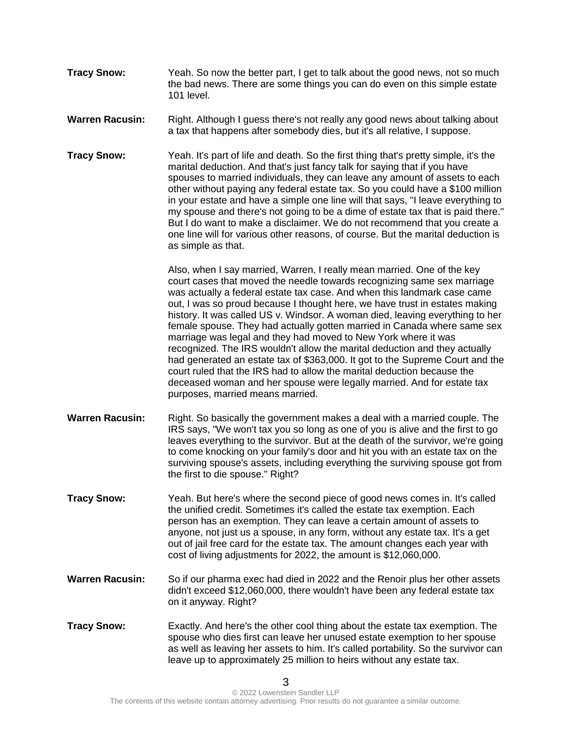- **Tracy Snow:** Yeah. So now the better part, I get to talk about the good news, not so much the bad news. There are some things you can do even on this simple estate 101 level.
- **Warren Racusin:** Right. Although I guess there's not really any good news about talking about a tax that happens after somebody dies, but it's all relative, I suppose.
- **Tracy Snow:** Yeah. It's part of life and death. So the first thing that's pretty simple, it's the marital deduction. And that's just fancy talk for saying that if you have spouses to married individuals, they can leave any amount of assets to each other without paying any federal estate tax. So you could have a \$100 million in your estate and have a simple one line will that says, "I leave everything to my spouse and there's not going to be a dime of estate tax that is paid there." But I do want to make a disclaimer. We do not recommend that you create a one line will for various other reasons, of course. But the marital deduction is as simple as that.

Also, when I say married, Warren, I really mean married. One of the key court cases that moved the needle towards recognizing same sex marriage was actually a federal estate tax case. And when this landmark case came out, I was so proud because I thought here, we have trust in estates making history. It was called US v. Windsor. A woman died, leaving everything to her female spouse. They had actually gotten married in Canada where same sex marriage was legal and they had moved to New York where it was recognized. The IRS wouldn't allow the marital deduction and they actually had generated an estate tax of \$363,000. It got to the Supreme Court and the court ruled that the IRS had to allow the marital deduction because the deceased woman and her spouse were legally married. And for estate tax purposes, married means married.

- **Warren Racusin:** Right. So basically the government makes a deal with a married couple. The IRS says, "We won't tax you so long as one of you is alive and the first to go leaves everything to the survivor. But at the death of the survivor, we're going to come knocking on your family's door and hit you with an estate tax on the surviving spouse's assets, including everything the surviving spouse got from the first to die spouse." Right?
- **Tracy Snow:** Yeah. But here's where the second piece of good news comes in. It's called the unified credit. Sometimes it's called the estate tax exemption. Each person has an exemption. They can leave a certain amount of assets to anyone, not just us a spouse, in any form, without any estate tax. It's a get out of jail free card for the estate tax. The amount changes each year with cost of living adjustments for 2022, the amount is \$12,060,000.
- **Warren Racusin:** So if our pharma exec had died in 2022 and the Renoir plus her other assets didn't exceed \$12,060,000, there wouldn't have been any federal estate tax on it anyway. Right?
- **Tracy Snow:** Exactly. And here's the other cool thing about the estate tax exemption. The spouse who dies first can leave her unused estate exemption to her spouse as well as leaving her assets to him. It's called portability. So the survivor can leave up to approximately 25 million to heirs without any estate tax.

3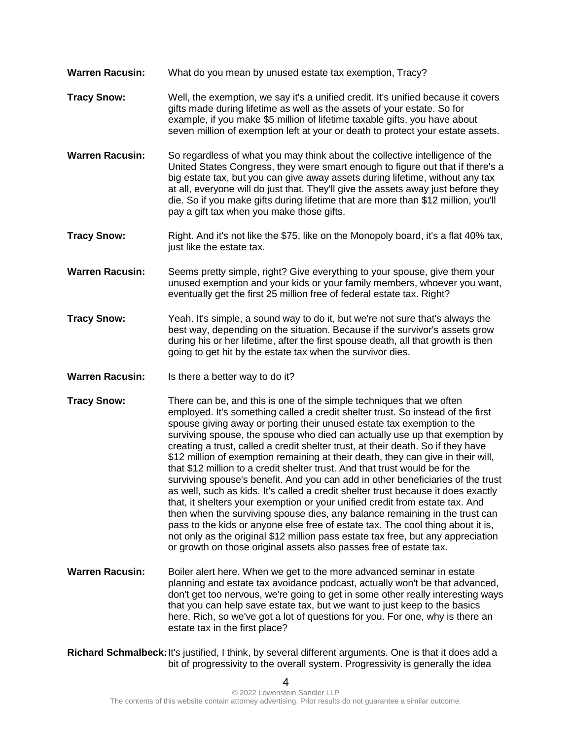- **Warren Racusin:** What do you mean by unused estate tax exemption, Tracy?
- **Tracy Snow:** Well, the exemption, we say it's a unified credit. It's unified because it covers gifts made during lifetime as well as the assets of your estate. So for example, if you make \$5 million of lifetime taxable gifts, you have about seven million of exemption left at your or death to protect your estate assets.
- **Warren Racusin:** So regardless of what you may think about the collective intelligence of the United States Congress, they were smart enough to figure out that if there's a big estate tax, but you can give away assets during lifetime, without any tax at all, everyone will do just that. They'll give the assets away just before they die. So if you make gifts during lifetime that are more than \$12 million, you'll pay a gift tax when you make those gifts.
- **Tracy Snow:** Right. And it's not like the \$75, like on the Monopoly board, it's a flat 40% tax, just like the estate tax.
- **Warren Racusin:** Seems pretty simple, right? Give everything to your spouse, give them your unused exemption and your kids or your family members, whoever you want, eventually get the first 25 million free of federal estate tax. Right?
- **Tracy Snow:** Yeah. It's simple, a sound way to do it, but we're not sure that's always the best way, depending on the situation. Because if the survivor's assets grow during his or her lifetime, after the first spouse death, all that growth is then going to get hit by the estate tax when the survivor dies.
- **Warren Racusin:** Is there a better way to do it?
- **Tracy Snow:** There can be, and this is one of the simple techniques that we often employed. It's something called a credit shelter trust. So instead of the first spouse giving away or porting their unused estate tax exemption to the surviving spouse, the spouse who died can actually use up that exemption by creating a trust, called a credit shelter trust, at their death. So if they have \$12 million of exemption remaining at their death, they can give in their will, that \$12 million to a credit shelter trust. And that trust would be for the surviving spouse's benefit. And you can add in other beneficiaries of the trust as well, such as kids. It's called a credit shelter trust because it does exactly that, it shelters your exemption or your unified credit from estate tax. And then when the surviving spouse dies, any balance remaining in the trust can pass to the kids or anyone else free of estate tax. The cool thing about it is, not only as the original \$12 million pass estate tax free, but any appreciation or growth on those original assets also passes free of estate tax.
- **Warren Racusin:** Boiler alert here. When we get to the more advanced seminar in estate planning and estate tax avoidance podcast, actually won't be that advanced, don't get too nervous, we're going to get in some other really interesting ways that you can help save estate tax, but we want to just keep to the basics here. Rich, so we've got a lot of questions for you. For one, why is there an estate tax in the first place?
- **Richard Schmalbeck:**It's justified, I think, by several different arguments. One is that it does add a bit of progressivity to the overall system. Progressivity is generally the idea

 $\boldsymbol{\Lambda}$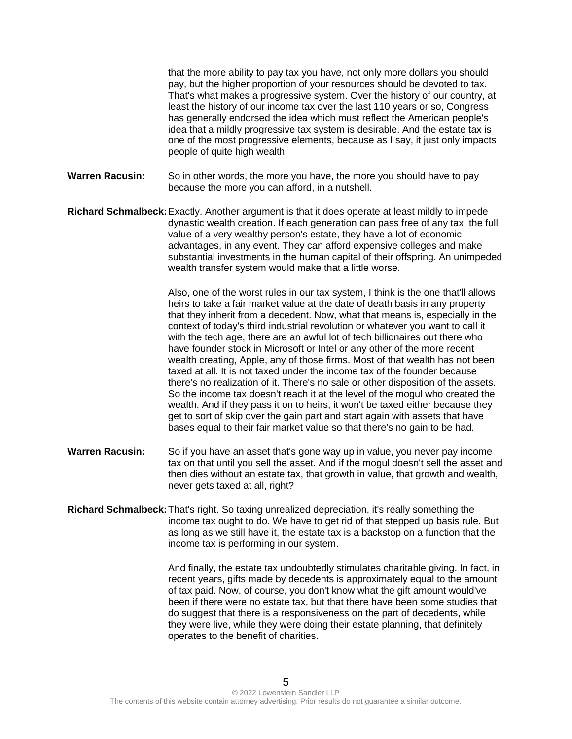that the more ability to pay tax you have, not only more dollars you should pay, but the higher proportion of your resources should be devoted to tax. That's what makes a progressive system. Over the history of our country, at least the history of our income tax over the last 110 years or so, Congress has generally endorsed the idea which must reflect the American people's idea that a mildly progressive tax system is desirable. And the estate tax is one of the most progressive elements, because as I say, it just only impacts people of quite high wealth.

- **Warren Racusin:** So in other words, the more you have, the more you should have to pay because the more you can afford, in a nutshell.
- **Richard Schmalbeck:**Exactly. Another argument is that it does operate at least mildly to impede dynastic wealth creation. If each generation can pass free of any tax, the full value of a very wealthy person's estate, they have a lot of economic advantages, in any event. They can afford expensive colleges and make substantial investments in the human capital of their offspring. An unimpeded wealth transfer system would make that a little worse.

Also, one of the worst rules in our tax system, I think is the one that'll allows heirs to take a fair market value at the date of death basis in any property that they inherit from a decedent. Now, what that means is, especially in the context of today's third industrial revolution or whatever you want to call it with the tech age, there are an awful lot of tech billionaires out there who have founder stock in Microsoft or Intel or any other of the more recent wealth creating, Apple, any of those firms. Most of that wealth has not been taxed at all. It is not taxed under the income tax of the founder because there's no realization of it. There's no sale or other disposition of the assets. So the income tax doesn't reach it at the level of the mogul who created the wealth. And if they pass it on to heirs, it won't be taxed either because they get to sort of skip over the gain part and start again with assets that have bases equal to their fair market value so that there's no gain to be had.

- **Warren Racusin:** So if you have an asset that's gone way up in value, you never pay income tax on that until you sell the asset. And if the mogul doesn't sell the asset and then dies without an estate tax, that growth in value, that growth and wealth, never gets taxed at all, right?
- **Richard Schmalbeck:**That's right. So taxing unrealized depreciation, it's really something the income tax ought to do. We have to get rid of that stepped up basis rule. But as long as we still have it, the estate tax is a backstop on a function that the income tax is performing in our system.

And finally, the estate tax undoubtedly stimulates charitable giving. In fact, in recent years, gifts made by decedents is approximately equal to the amount of tax paid. Now, of course, you don't know what the gift amount would've been if there were no estate tax, but that there have been some studies that do suggest that there is a responsiveness on the part of decedents, while they were live, while they were doing their estate planning, that definitely operates to the benefit of charities.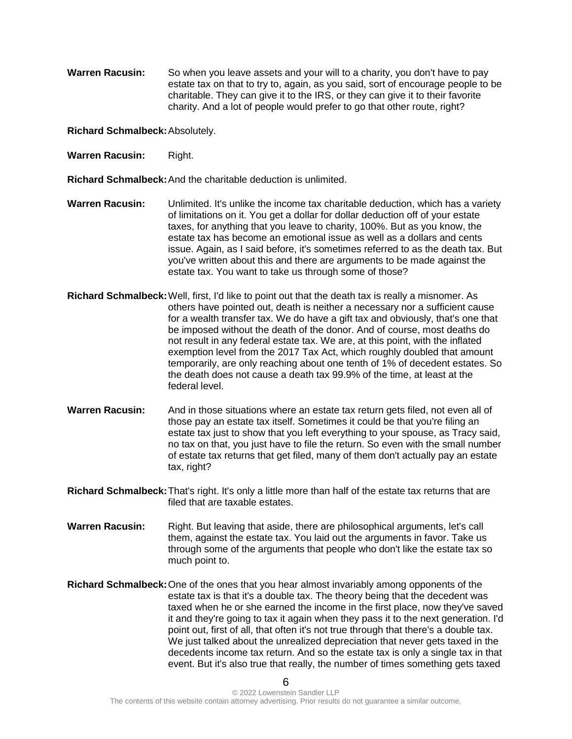**Warren Racusin:** So when you leave assets and your will to a charity, you don't have to pay estate tax on that to try to, again, as you said, sort of encourage people to be charitable. They can give it to the IRS, or they can give it to their favorite charity. And a lot of people would prefer to go that other route, right?

**Richard Schmalbeck:**Absolutely.

**Warren Racusin:** Right.

**Richard Schmalbeck:**And the charitable deduction is unlimited.

- **Warren Racusin:** Unlimited. It's unlike the income tax charitable deduction, which has a variety of limitations on it. You get a dollar for dollar deduction off of your estate taxes, for anything that you leave to charity, 100%. But as you know, the estate tax has become an emotional issue as well as a dollars and cents issue. Again, as I said before, it's sometimes referred to as the death tax. But you've written about this and there are arguments to be made against the estate tax. You want to take us through some of those?
- **Richard Schmalbeck:**Well, first, I'd like to point out that the death tax is really a misnomer. As others have pointed out, death is neither a necessary nor a sufficient cause for a wealth transfer tax. We do have a gift tax and obviously, that's one that be imposed without the death of the donor. And of course, most deaths do not result in any federal estate tax. We are, at this point, with the inflated exemption level from the 2017 Tax Act, which roughly doubled that amount temporarily, are only reaching about one tenth of 1% of decedent estates. So the death does not cause a death tax 99.9% of the time, at least at the federal level.
- **Warren Racusin:** And in those situations where an estate tax return gets filed, not even all of those pay an estate tax itself. Sometimes it could be that you're filing an estate tax just to show that you left everything to your spouse, as Tracy said, no tax on that, you just have to file the return. So even with the small number of estate tax returns that get filed, many of them don't actually pay an estate tax, right?
- **Richard Schmalbeck:**That's right. It's only a little more than half of the estate tax returns that are filed that are taxable estates.
- **Warren Racusin:** Right. But leaving that aside, there are philosophical arguments, let's call them, against the estate tax. You laid out the arguments in favor. Take us through some of the arguments that people who don't like the estate tax so much point to.
- **Richard Schmalbeck:**One of the ones that you hear almost invariably among opponents of the estate tax is that it's a double tax. The theory being that the decedent was taxed when he or she earned the income in the first place, now they've saved it and they're going to tax it again when they pass it to the next generation. I'd point out, first of all, that often it's not true through that there's a double tax. We just talked about the unrealized depreciation that never gets taxed in the decedents income tax return. And so the estate tax is only a single tax in that event. But it's also true that really, the number of times something gets taxed

6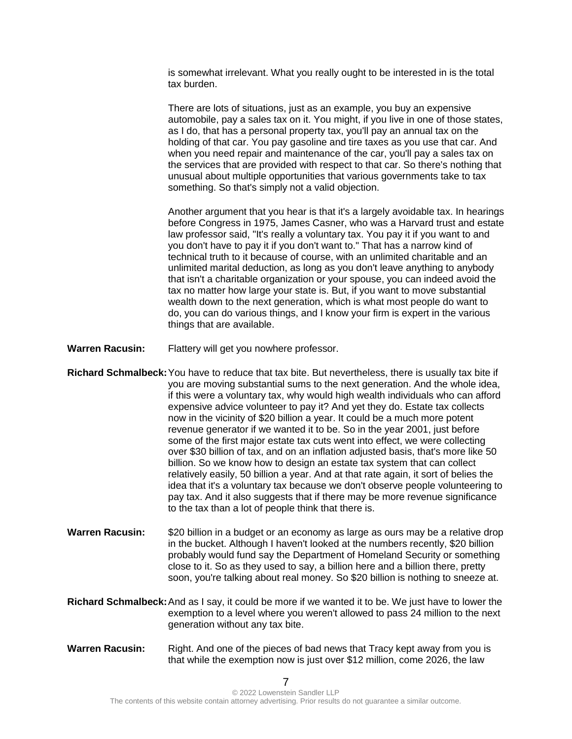is somewhat irrelevant. What you really ought to be interested in is the total tax burden.

There are lots of situations, just as an example, you buy an expensive automobile, pay a sales tax on it. You might, if you live in one of those states, as I do, that has a personal property tax, you'll pay an annual tax on the holding of that car. You pay gasoline and tire taxes as you use that car. And when you need repair and maintenance of the car, you'll pay a sales tax on the services that are provided with respect to that car. So there's nothing that unusual about multiple opportunities that various governments take to tax something. So that's simply not a valid objection.

Another argument that you hear is that it's a largely avoidable tax. In hearings before Congress in 1975, James Casner, who was a Harvard trust and estate law professor said, "It's really a voluntary tax. You pay it if you want to and you don't have to pay it if you don't want to." That has a narrow kind of technical truth to it because of course, with an unlimited charitable and an unlimited marital deduction, as long as you don't leave anything to anybody that isn't a charitable organization or your spouse, you can indeed avoid the tax no matter how large your state is. But, if you want to move substantial wealth down to the next generation, which is what most people do want to do, you can do various things, and I know your firm is expert in the various things that are available.

- **Warren Racusin:** Flattery will get you nowhere professor.
- **Richard Schmalbeck:**You have to reduce that tax bite. But nevertheless, there is usually tax bite if you are moving substantial sums to the next generation. And the whole idea, if this were a voluntary tax, why would high wealth individuals who can afford expensive advice volunteer to pay it? And yet they do. Estate tax collects now in the vicinity of \$20 billion a year. It could be a much more potent revenue generator if we wanted it to be. So in the year 2001, just before some of the first major estate tax cuts went into effect, we were collecting over \$30 billion of tax, and on an inflation adjusted basis, that's more like 50 billion. So we know how to design an estate tax system that can collect relatively easily, 50 billion a year. And at that rate again, it sort of belies the idea that it's a voluntary tax because we don't observe people volunteering to pay tax. And it also suggests that if there may be more revenue significance to the tax than a lot of people think that there is.
- **Warren Racusin:** \$20 billion in a budget or an economy as large as ours may be a relative drop in the bucket. Although I haven't looked at the numbers recently, \$20 billion probably would fund say the Department of Homeland Security or something close to it. So as they used to say, a billion here and a billion there, pretty soon, you're talking about real money. So \$20 billion is nothing to sneeze at.
- **Richard Schmalbeck:**And as I say, it could be more if we wanted it to be. We just have to lower the exemption to a level where you weren't allowed to pass 24 million to the next generation without any tax bite.
- **Warren Racusin:** Right. And one of the pieces of bad news that Tracy kept away from you is that while the exemption now is just over \$12 million, come 2026, the law